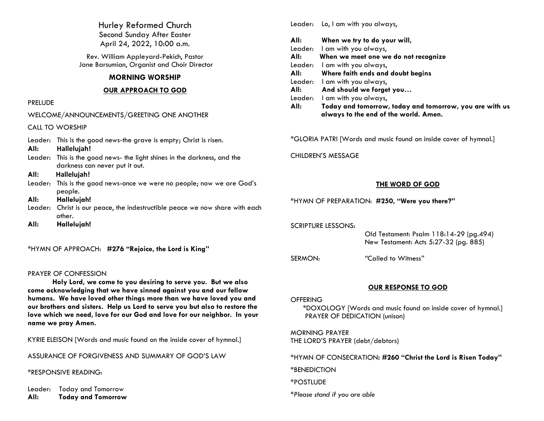Hurley Reformed Church Second Sunday After Easter April 24, 2022, 10:00 a.m.

Rev. William Appleyard-Pekich, Pastor Jane Barsumian, Organist and Choir Director

## **MORNING WORSHIP**

## **OUR APPROACH TO GOD**

## PRELUDE

| WELCOME/ANNOUNCEMENTS/GREETING ONE ANOTHER |                                                                                                            |  |
|--------------------------------------------|------------------------------------------------------------------------------------------------------------|--|
|                                            | <b>CALL TO WORSHIP</b>                                                                                     |  |
| Leader:<br>All:                            | This is the good news-the grave is empty; Christ is risen.<br>Hallelujah!                                  |  |
|                                            | Leader: This is the good news- the light shines in the darkness, and the<br>darkness can never put it out. |  |
| All:                                       | Hallelujah!                                                                                                |  |
|                                            | Leader: This is the good news-once we were no people; now we are God's<br>people.                          |  |
| All:                                       | Hallelujah!                                                                                                |  |
|                                            | Leader: Christ is our peace, the indestructible peace we now share with each<br>other.                     |  |
| All:                                       | Hallelujah!                                                                                                |  |

\*HYMN OF APPROACH: **#276 "Rejoice, the Lord is King"**

WELCOME/ANNOUNCEMENTS/GREETING ONE ANOTHER

# PRAYER OF CONFESSION

**Holy Lord, we come to you desiring to serve you. But we also come acknowledging that we have sinned against you and our fellow humans. We have loved other things more than we have loved you and our brothers and sisters. Help us Lord to serve you but also to restore the love which we need, love for our God and love for our neighbor. In your name we pray Amen.**

KYRIE ELEISON [Words and music found on the inside cover of hymnal.]

ASSURANCE OF FORGIVENESS AND SUMMARY OF GOD'S LAW

\*RESPONSIVE READING:

Leader: Today and Tomorrow **All: Today and Tomorrow** Leader:Lo, I am with you always,

| All:    | When we try to do your will,                                                                     |
|---------|--------------------------------------------------------------------------------------------------|
|         | Leader: I am with you always,                                                                    |
| All:    | When we meet one we do not recognize                                                             |
|         | Leader: I am with you always,                                                                    |
| All:    | Where faith ends and doubt begins                                                                |
|         | Leader: I am with you always,                                                                    |
| All:    | And should we forget you                                                                         |
| Leader: | I am with you always,                                                                            |
| All:    | Today and tomorrow, today and tomorrow, you are with us<br>always to the end of the world. Amen. |
|         |                                                                                                  |

\*GLORIA PATRI [Words and music found on inside cover of hymnal.]

CHILDREN'S MESSAGE

# **THE WORD OF GOD**

\*HYMN OF PREPARATION: **#250, "Were you there?"**

SCRIPTURE LESSONS:

 Old Testament: Psalm 118:14-29 (pg.494) New Testament: Acts 5:27-32 (pg. 885)

SERMON: *"*Called to Witness*"*

# **OUR RESPONSE TO GOD**

## **OFFERING**

\*DOXOLOGY [Words and music found on inside cover of hymnal.] PRAYER OF DEDICATION (unison)

MORNING PRAYER THE LORD'S PRAYER (debt/debtors)

\*HYMN OF CONSECRATION**: #260 "Christ the Lord is Risen Today"**

\*BENEDICTION

\*POSTLUDE

*\*Please stand if you are able*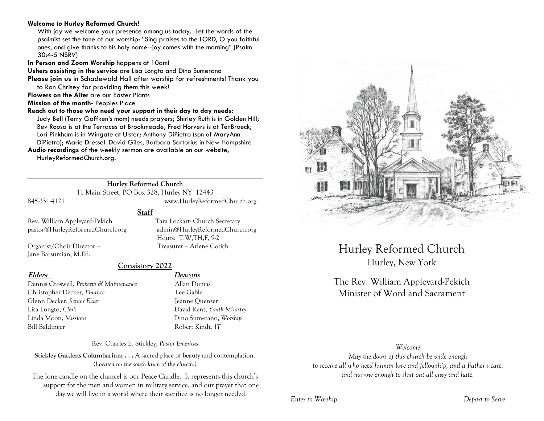## **Welcome to Hurley Reformed Church!**

With joy we welcome your presence among us today. Let the words of the psalmist set the tone of our worship: "Sing praises to the LORD, O you faithful ones, and give thanks to his holy name--joy comes with the morning" (Psalm 30:4-5 NSRV)

**In Person and Zoom Worship** happens at 10am!

**Ushers assisting in the service** are Lisa Longto and Dino Sumerano

**Please join us** in Schadewald Hall after worship for refreshments! Thank you to Ron Chrisey for providing them this week!

**Flowers on the Alter** are our Easter Plants

**Mission of the month-** Peoples Place

### **Reach out to those who need your support in their day to day needs:**

Judy Bell (Terry Gaffken's mom) needs prayers; Shirley Ruth is in Golden Hill; Bev Roosa is at the Terraces at Brookmeade; Fred Horvers is at TenBroeck; Lori Pinkham is in Wingate at Ulster; Anthony DiPietro (son of MaryAnn DiPietro); Marie Dressel. David Giles, Barbara Sartorius in New Hampshire

**Audio recordings** of the weekly sermon are available on our website, HurleyReformedChurch.org.

# **Hurley Reformed Church**

11 Main Street, PO Box 328, Hurley NY 12443 845-331-4121 www.HurleyReformedChurch.org

Hours: T,W,TH,F, 9-2

**Staff**

Rev. William Appleyard-Pekich Tara Lockart- Church Secretary pastor@HurleyReformedChurch.org admin@HurleyReformedChurch.org

Organist/Choir Director – Treasurer – Arlene Cotich Jane Barsumian, M.Ed.

# **Consistory 2022**

Dennis Croswell, *Property & Maintenance* Allan Dumas Christopher Decker, *Finance* Lee Gable Glenn Decker, *Senior Elder* Jeanne Ouenzer Lisa Longto, *Clerk* David Kent, *Youth Ministry* Linda Moon, *Missions* Dino Sumerano, *Worship* Bill Baldinger Robert Kindt, *IT*

# **Elders Deacons**

Rev. Charles E. Stickley, *Pastor Emeritus*

**Stickley Gardens Columbarium . . .** A sacred place of beauty and contemplation. (*Located on the south lawn of the church.)* 

The lone candle on the chancel is our Peace Candle. It represents this church's support for the men and women in military service, and our prayer that one day we will live in a world where their sacrifice is no longer needed.



Hurley Reformed Church Hurley, New York

# The Rev. William Appleyard-Pekich Minister of Word and Sacrament

### *Welcome*

*May the doors of this church be wide enough to receive all who need human love and fellowship, and a Father's care; and narrow enough to shut out all envy and hate.*

### *Enter to Worship Depart to Serve*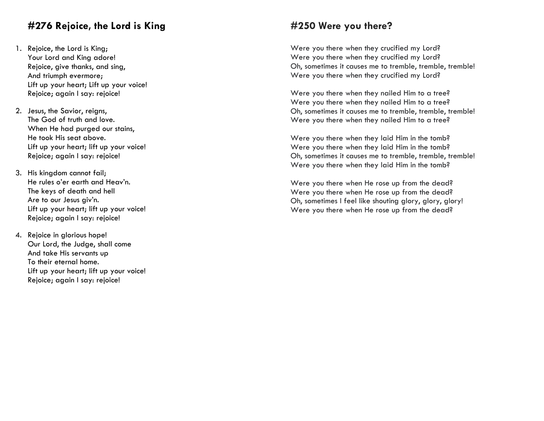# **#276 Rejoice, the Lord is King**

- 1. Rejoice, the Lord is King; Your Lord and King adore! Rejoice, give thanks, and sing, And triumph evermore; Lift up your heart; Lift up your voice! Rejoice; again I say: rejoice!
- 2. Jesus, the Savior, reigns, The God of truth and love. When He had purged our stains, He took His seat above. Lift up your heart; lift up your voice! Rejoice; again I say: rejoice!
- 3. His kingdom cannot fail; He rules o'er earth and Heav'n. The keys of death and hell Are to our Jesus giv'n. Lift up your heart; lift up your voice! Rejoice; again I say: rejoice!
- 4. Rejoice in glorious hope! Our Lord, the Judge, shall come And take His servants up To their eternal home. Lift up your heart; lift up your voice! Rejoice; again I say: rejoice!

# **#250 Were you there?**

Were you there when they crucified my Lord? Were you there when they crucified my Lord? Oh, sometimes it causes me to tremble, tremble, tremble! Were you there when they crucified my Lord?

Were you there when they nailed Him to a tree? Were you there when they nailed Him to a tree? Oh, sometimes it causes me to tremble, tremble, tremble! Were you there when they nailed Him to a tree?

Were you there when they laid Him in the tomb? Were you there when they laid Him in the tomb? Oh, sometimes it causes me to tremble, tremble, tremble! Were you there when they laid Him in the tomb?

Were you there when He rose up from the dead? Were you there when He rose up from the dead? Oh, sometimes I feel like shouting glory, glory, glory! Were you there when He rose up from the dead?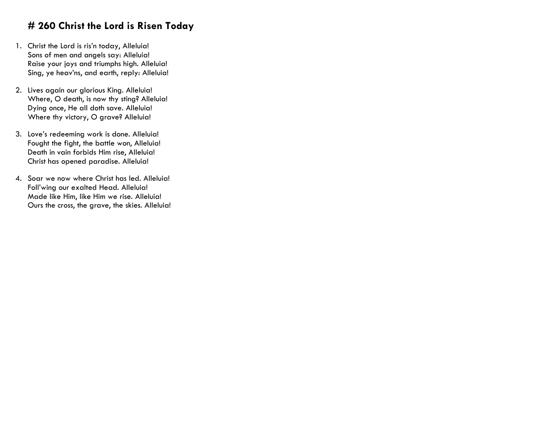# **# 260 Christ the Lord is Risen Today**

- 1. Christ the Lord is ris'n today, Alleluia! Sons of men and angels say: Alleluia! Raise your joys and triumphs high. Alleluia! Sing, ye heav'ns, and earth, reply: Alleluia!
- 2. Lives again our glorious King. Alleluia! Where, O death, is now thy sting? Alleluia! Dying once, He all doth save. Alleluia! Where thy victory, O grave? Alleluia!
- 3. Love's redeeming work is done. Alleluia! Fought the fight, the battle won, Alleluia! Death in vain forbids Him rise, Alleluia! Christ has opened paradise. Alleluia!
- 4. Soar we now where Christ has led. Alleluia! Foll'wing our exalted Head. Alleluia! Made like Him, like Him we rise. Alleluia! Ours the cross, the grave, the skies. Alleluia!